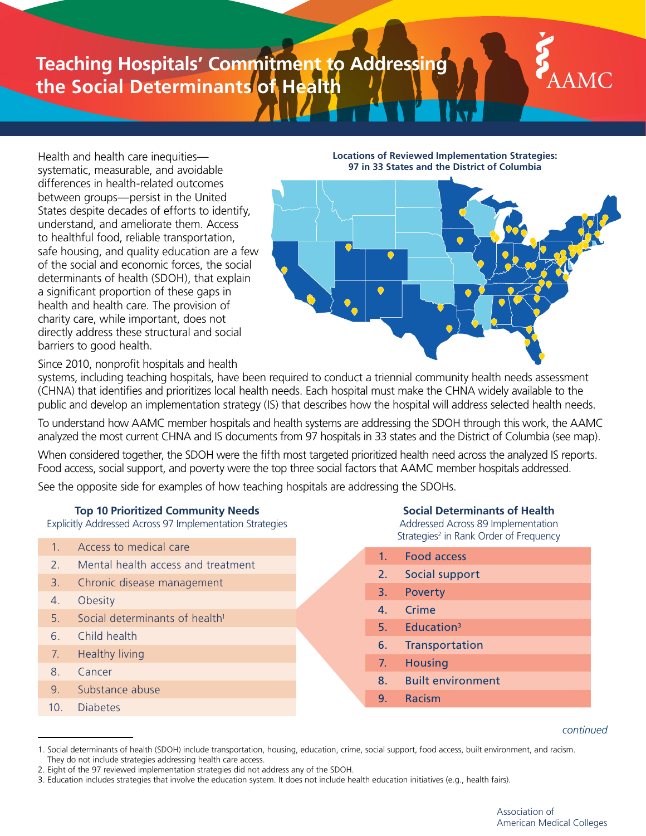# **Teaching Hospitals' Commitment to Addressing the Social Determinants of Health**



Health and health care inequities systematic, measurable, and avoidable differences in health-related outcomes between groups—persist in the United States despite decades of efforts to identify, understand, and ameliorate them. Access to healthful food, reliable transportation, safe housing, and quality education are a few of the social and economic forces, the social determinants of health (SDOH), that explain a significant proportion of these gaps in health and health care. The provision of charity care, while important, does not directly address these structural and social barriers to good health.

**Locations of Reviewed Implementation Strategies: 97 in 33 States and the District of Columbia**



Since 2010, nonprofit hospitals and health

systems, including teaching hospitals, have been required to conduct a triennial community health needs assessment (CHNA) that identifies and prioritizes local health needs. Each hospital must make the CHNA widely available to the public and develop an implementation strategy (IS) that describes how the hospital will address selected health needs.

To understand how AAMC member hospitals and health systems are addressing the SDOH through this work, the AAMC analyzed the most current CHNA and IS documents from 97 hospitals in 33 states and the District of Columbia (see map).

When considered together, the SDOH were the fifth most targeted prioritized health need across the analyzed IS reports. Food access, social support, and poverty were the top three social factors that AAMC member hospitals addressed.

See the opposite side for examples of how teaching hospitals are addressing the SDOHs.

# **Top 10 Prioritized Community Needs**

Explicitly Addressed Across 97 Implementation Strategies

- 1. Access to medical care
- 2. Mental health access and treatment
- 3. Chronic disease management
- 4. Obesity
- 5. Social determinants of health<sup>1</sup>
- 6. Child health
- 7. Healthy living
- 8. Cancer
- 9. Substance abuse
- 10. Diabetes

**Social Determinants of Health** 

Addressed Across 89 Implementation Strategies<sup>2</sup> in Rank Order of Frequency

- 1. Food access
- 2. Social support
- 3. Poverty
- 4. Crime
- 5. Education3
- 6. Transportation
- 7. Housing
- 8. Built environment
- 9. Racism

*continued*

<sup>1.</sup> Social determinants of health (SDOH) include transportation, housing, education, crime, social support, food access, built environment, and racism. They do not include strategies addressing health care access.

<sup>2.</sup> Eight of the 97 reviewed implementation strategies did not address any of the SDOH.

<sup>3.</sup> Education includes strategies that involve the education system. It does not include health education initiatives (e.g., health fairs).